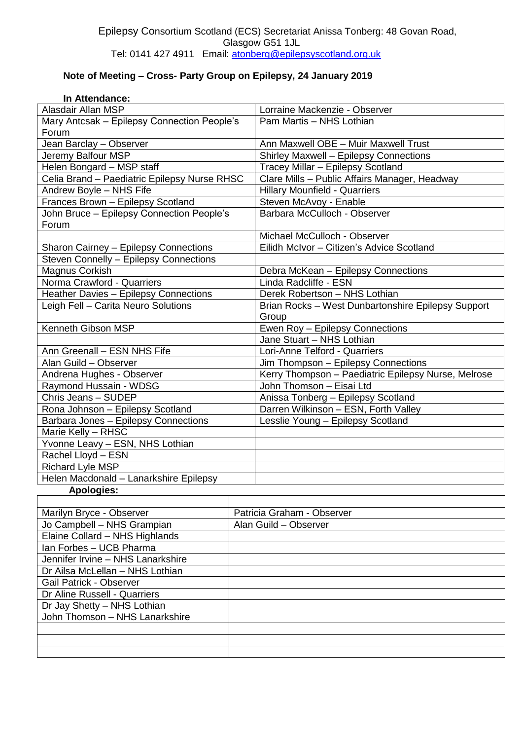## **Note of Meeting – Cross- Party Group on Epilepsy, 24 January 2019**

| In Attendance:                               |  |                                                     |
|----------------------------------------------|--|-----------------------------------------------------|
| <b>Alasdair Allan MSP</b>                    |  | Lorraine Mackenzie - Observer                       |
| Mary Antcsak - Epilepsy Connection People's  |  | Pam Martis - NHS Lothian                            |
| Forum                                        |  |                                                     |
| Jean Barclay - Observer                      |  | Ann Maxwell OBE - Muir Maxwell Trust                |
| Jeremy Balfour MSP                           |  | Shirley Maxwell - Epilepsy Connections              |
| Helen Bongard - MSP staff                    |  | Tracey Millar - Epilepsy Scotland                   |
| Celia Brand - Paediatric Epilepsy Nurse RHSC |  | Clare Mills - Public Affairs Manager, Headway       |
| Andrew Boyle - NHS Fife                      |  | <b>Hillary Mounfield - Quarriers</b>                |
| Frances Brown - Epilepsy Scotland            |  | Steven McAvoy - Enable                              |
| John Bruce - Epilepsy Connection People's    |  | Barbara McCulloch - Observer                        |
| Forum                                        |  |                                                     |
|                                              |  | Michael McCulloch - Observer                        |
| Sharon Cairney - Epilepsy Connections        |  | Eilidh McIvor - Citizen's Advice Scotland           |
| Steven Connelly - Epilepsy Connections       |  |                                                     |
| Magnus Corkish                               |  | Debra McKean - Epilepsy Connections                 |
| Norma Crawford - Quarriers                   |  | Linda Radcliffe - ESN                               |
| Heather Davies - Epilepsy Connections        |  | Derek Robertson - NHS Lothian                       |
| Leigh Fell - Carita Neuro Solutions          |  | Brian Rocks - West Dunbartonshire Epilepsy Support  |
|                                              |  | Group                                               |
| Kenneth Gibson MSP                           |  | Ewen Roy - Epilepsy Connections                     |
|                                              |  | Jane Stuart - NHS Lothian                           |
| Ann Greenall - ESN NHS Fife                  |  | Lori-Anne Telford - Quarriers                       |
| Alan Guild - Observer                        |  | Jim Thompson - Epilepsy Connections                 |
| Andrena Hughes - Observer                    |  | Kerry Thompson - Paediatric Epilepsy Nurse, Melrose |
| Raymond Hussain - WDSG                       |  | John Thomson - Eisai Ltd                            |
| Chris Jeans - SUDEP                          |  | Anissa Tonberg - Epilepsy Scotland                  |
| Rona Johnson - Epilepsy Scotland             |  | Darren Wilkinson - ESN, Forth Valley                |
| Barbara Jones - Epilepsy Connections         |  | Lesslie Young - Epilepsy Scotland                   |
| Marie Kelly - RHSC                           |  |                                                     |
| Yvonne Leavy - ESN, NHS Lothian              |  |                                                     |
| Rachel Lloyd - ESN                           |  |                                                     |
| Richard Lyle MSP                             |  |                                                     |
| Helen Macdonald - Lanarkshire Epilepsy       |  |                                                     |
| <b>Apologies:</b>                            |  |                                                     |
|                                              |  |                                                     |
| Marilyn Bryce - Observer                     |  | Patricia Graham - Observer                          |
| Jo Campbell - NHS Grampian                   |  | Alan Guild - Observer                               |
| Elaine Collard - NHS Highlands               |  |                                                     |
| Ian Forbes - UCB Pharma                      |  |                                                     |
| Jennifer Irvine - NHS Lanarkshire            |  |                                                     |
| Dr Ailsa McLellan - NHS Lothian              |  |                                                     |
| <b>Gail Patrick - Observer</b>               |  |                                                     |
| Dr Aline Russell - Quarriers                 |  |                                                     |
| Dr Jay Shetty - NHS Lothian                  |  |                                                     |
| John Thomson - NHS Lanarkshire               |  |                                                     |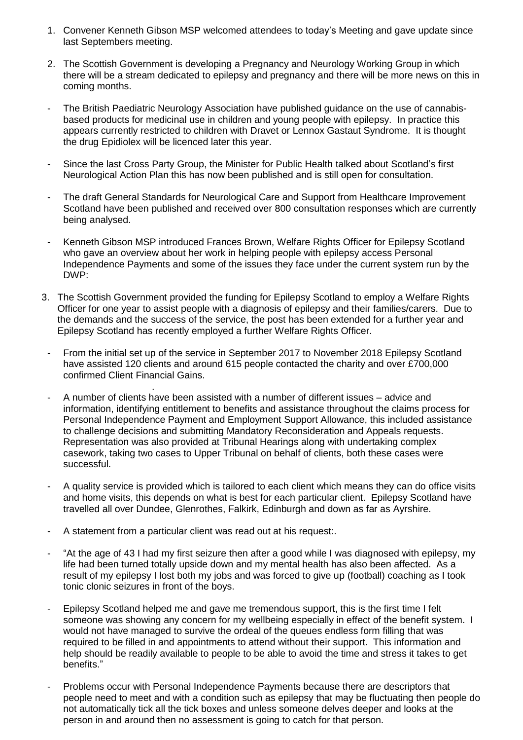- 1. Convener Kenneth Gibson MSP welcomed attendees to today's Meeting and gave update since last Septembers meeting.
- 2. The Scottish Government is developing a Pregnancy and Neurology Working Group in which there will be a stream dedicated to epilepsy and pregnancy and there will be more news on this in coming months.
- The British Paediatric Neurology Association have published guidance on the use of cannabisbased products for medicinal use in children and young people with epilepsy. In practice this appears currently restricted to children with Dravet or Lennox Gastaut Syndrome. It is thought the drug Epidiolex will be licenced later this year.
- Since the last Cross Party Group, the Minister for Public Health talked about Scotland's first Neurological Action Plan this has now been published and is still open for consultation.
- The draft General Standards for Neurological Care and Support from Healthcare Improvement Scotland have been published and received over 800 consultation responses which are currently being analysed.
- Kenneth Gibson MSP introduced Frances Brown, Welfare Rights Officer for Epilepsy Scotland who gave an overview about her work in helping people with epilepsy access Personal Independence Payments and some of the issues they face under the current system run by the DWP:
- 3. The Scottish Government provided the funding for Epilepsy Scotland to employ a Welfare Rights Officer for one year to assist people with a diagnosis of epilepsy and their families/carers. Due to the demands and the success of the service, the post has been extended for a further year and Epilepsy Scotland has recently employed a further Welfare Rights Officer.
- From the initial set up of the service in September 2017 to November 2018 Epilepsy Scotland have assisted 120 clients and around 615 people contacted the charity and over £700,000 confirmed Client Financial Gains.
- . - A number of clients have been assisted with a number of different issues – advice and information, identifying entitlement to benefits and assistance throughout the claims process for Personal Independence Payment and Employment Support Allowance, this included assistance to challenge decisions and submitting Mandatory Reconsideration and Appeals requests. Representation was also provided at Tribunal Hearings along with undertaking complex casework, taking two cases to Upper Tribunal on behalf of clients, both these cases were successful.
- A quality service is provided which is tailored to each client which means they can do office visits and home visits, this depends on what is best for each particular client. Epilepsy Scotland have travelled all over Dundee, Glenrothes, Falkirk, Edinburgh and down as far as Ayrshire.
- A statement from a particular client was read out at his request:.
- "At the age of 43 I had my first seizure then after a good while I was diagnosed with epilepsy, my life had been turned totally upside down and my mental health has also been affected. As a result of my epilepsy I lost both my jobs and was forced to give up (football) coaching as I took tonic clonic seizures in front of the boys.
- Epilepsy Scotland helped me and gave me tremendous support, this is the first time I felt someone was showing any concern for my wellbeing especially in effect of the benefit system. I would not have managed to survive the ordeal of the queues endless form filling that was required to be filled in and appointments to attend without their support. This information and help should be readily available to people to be able to avoid the time and stress it takes to get benefits."
- Problems occur with Personal Independence Payments because there are descriptors that people need to meet and with a condition such as epilepsy that may be fluctuating then people do not automatically tick all the tick boxes and unless someone delves deeper and looks at the person in and around then no assessment is going to catch for that person.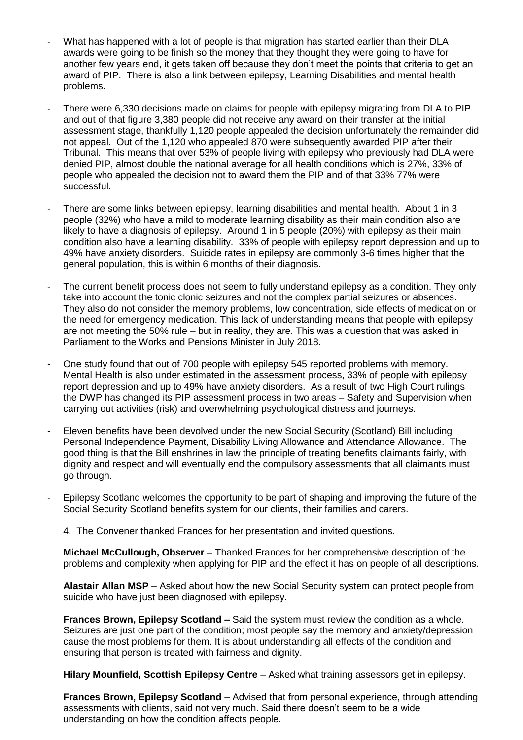- What has happened with a lot of people is that migration has started earlier than their DLA awards were going to be finish so the money that they thought they were going to have for another few years end, it gets taken off because they don't meet the points that criteria to get an award of PIP. There is also a link between epilepsy, Learning Disabilities and mental health problems.
- There were 6,330 decisions made on claims for people with epilepsy migrating from DLA to PIP and out of that figure 3,380 people did not receive any award on their transfer at the initial assessment stage, thankfully 1,120 people appealed the decision unfortunately the remainder did not appeal. Out of the 1,120 who appealed 870 were subsequently awarded PIP after their Tribunal. This means that over 53% of people living with epilepsy who previously had DLA were denied PIP, almost double the national average for all health conditions which is 27%, 33% of people who appealed the decision not to award them the PIP and of that 33% 77% were successful.
- There are some links between epilepsy, learning disabilities and mental health. About 1 in 3 people (32%) who have a mild to moderate learning disability as their main condition also are likely to have a diagnosis of epilepsy. Around 1 in 5 people (20%) with epilepsy as their main condition also have a learning disability. 33% of people with epilepsy report depression and up to 49% have anxiety disorders. Suicide rates in epilepsy are commonly 3-6 times higher that the general population, this is within 6 months of their diagnosis.
- The current benefit process does not seem to fully understand epilepsy as a condition. They only take into account the tonic clonic seizures and not the complex partial seizures or absences. They also do not consider the memory problems, low concentration, side effects of medication or the need for emergency medication. This lack of understanding means that people with epilepsy are not meeting the 50% rule – but in reality, they are. This was a question that was asked in Parliament to the Works and Pensions Minister in July 2018.
- One study found that out of 700 people with epilepsy 545 reported problems with memory. Mental Health is also under estimated in the assessment process, 33% of people with epilepsy report depression and up to 49% have anxiety disorders. As a result of two High Court rulings the DWP has changed its PIP assessment process in two areas – Safety and Supervision when carrying out activities (risk) and overwhelming psychological distress and journeys.
- Eleven benefits have been devolved under the new Social Security (Scotland) Bill including Personal Independence Payment, Disability Living Allowance and Attendance Allowance. The good thing is that the Bill enshrines in law the principle of treating benefits claimants fairly, with dignity and respect and will eventually end the compulsory assessments that all claimants must go through.
- Epilepsy Scotland welcomes the opportunity to be part of shaping and improving the future of the Social Security Scotland benefits system for our clients, their families and carers.
	- 4. The Convener thanked Frances for her presentation and invited questions.

**Michael McCullough, Observer** – Thanked Frances for her comprehensive description of the problems and complexity when applying for PIP and the effect it has on people of all descriptions.

**Alastair Allan MSP** – Asked about how the new Social Security system can protect people from suicide who have just been diagnosed with epilepsy.

**Frances Brown, Epilepsy Scotland –** Said the system must review the condition as a whole. Seizures are just one part of the condition; most people say the memory and anxiety/depression cause the most problems for them. It is about understanding all effects of the condition and ensuring that person is treated with fairness and dignity.

**Hilary Mounfield, Scottish Epilepsy Centre** – Asked what training assessors get in epilepsy.

**Frances Brown, Epilepsy Scotland** – Advised that from personal experience, through attending assessments with clients, said not very much. Said there doesn't seem to be a wide understanding on how the condition affects people.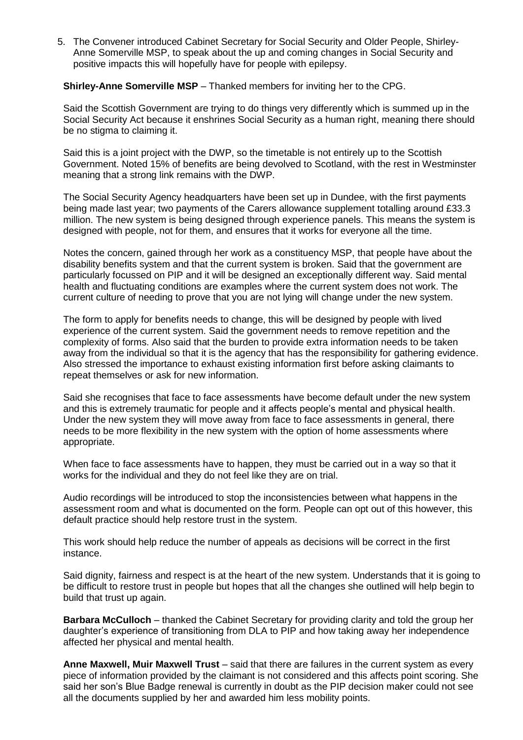5. The Convener introduced Cabinet Secretary for Social Security and Older People, Shirley-Anne Somerville MSP, to speak about the up and coming changes in Social Security and positive impacts this will hopefully have for people with epilepsy.

## **Shirley-Anne Somerville MSP** – Thanked members for inviting her to the CPG.

Said the Scottish Government are trying to do things very differently which is summed up in the Social Security Act because it enshrines Social Security as a human right, meaning there should be no stigma to claiming it.

Said this is a joint project with the DWP, so the timetable is not entirely up to the Scottish Government. Noted 15% of benefits are being devolved to Scotland, with the rest in Westminster meaning that a strong link remains with the DWP.

The Social Security Agency headquarters have been set up in Dundee, with the first payments being made last year; two payments of the Carers allowance supplement totalling around £33.3 million. The new system is being designed through experience panels. This means the system is designed with people, not for them, and ensures that it works for everyone all the time.

Notes the concern, gained through her work as a constituency MSP, that people have about the disability benefits system and that the current system is broken. Said that the government are particularly focussed on PIP and it will be designed an exceptionally different way. Said mental health and fluctuating conditions are examples where the current system does not work. The current culture of needing to prove that you are not lying will change under the new system.

The form to apply for benefits needs to change, this will be designed by people with lived experience of the current system. Said the government needs to remove repetition and the complexity of forms. Also said that the burden to provide extra information needs to be taken away from the individual so that it is the agency that has the responsibility for gathering evidence. Also stressed the importance to exhaust existing information first before asking claimants to repeat themselves or ask for new information.

Said she recognises that face to face assessments have become default under the new system and this is extremely traumatic for people and it affects people's mental and physical health. Under the new system they will move away from face to face assessments in general, there needs to be more flexibility in the new system with the option of home assessments where appropriate.

When face to face assessments have to happen, they must be carried out in a way so that it works for the individual and they do not feel like they are on trial.

Audio recordings will be introduced to stop the inconsistencies between what happens in the assessment room and what is documented on the form. People can opt out of this however, this default practice should help restore trust in the system.

This work should help reduce the number of appeals as decisions will be correct in the first instance.

Said dignity, fairness and respect is at the heart of the new system. Understands that it is going to be difficult to restore trust in people but hopes that all the changes she outlined will help begin to build that trust up again.

**Barbara McCulloch** – thanked the Cabinet Secretary for providing clarity and told the group her daughter's experience of transitioning from DLA to PIP and how taking away her independence affected her physical and mental health.

**Anne Maxwell, Muir Maxwell Trust** – said that there are failures in the current system as every piece of information provided by the claimant is not considered and this affects point scoring. She said her son's Blue Badge renewal is currently in doubt as the PIP decision maker could not see all the documents supplied by her and awarded him less mobility points.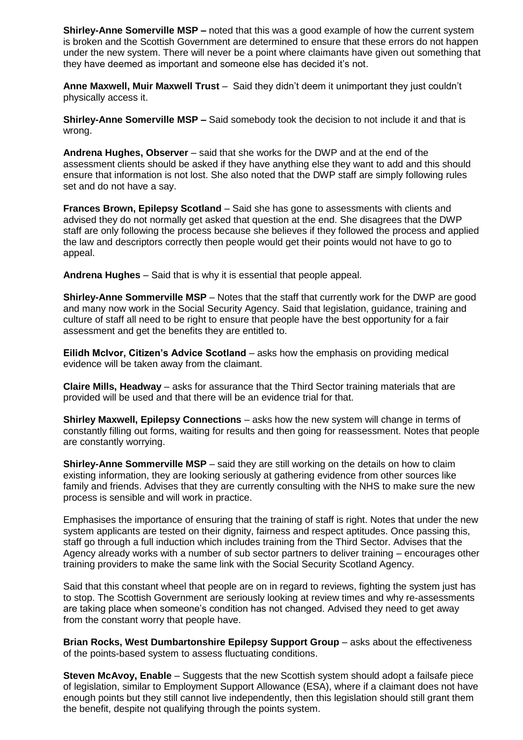**Shirley-Anne Somerville MSP –** noted that this was a good example of how the current system is broken and the Scottish Government are determined to ensure that these errors do not happen under the new system. There will never be a point where claimants have given out something that they have deemed as important and someone else has decided it's not.

**Anne Maxwell, Muir Maxwell Trust** – Said they didn't deem it unimportant they just couldn't physically access it.

**Shirley-Anne Somerville MSP –** Said somebody took the decision to not include it and that is wrong.

**Andrena Hughes, Observer** – said that she works for the DWP and at the end of the assessment clients should be asked if they have anything else they want to add and this should ensure that information is not lost. She also noted that the DWP staff are simply following rules set and do not have a say.

**Frances Brown, Epilepsy Scotland** – Said she has gone to assessments with clients and advised they do not normally get asked that question at the end. She disagrees that the DWP staff are only following the process because she believes if they followed the process and applied the law and descriptors correctly then people would get their points would not have to go to appeal.

**Andrena Hughes** – Said that is why it is essential that people appeal.

**Shirley-Anne Sommerville MSP** – Notes that the staff that currently work for the DWP are good and many now work in the Social Security Agency. Said that legislation, guidance, training and culture of staff all need to be right to ensure that people have the best opportunity for a fair assessment and get the benefits they are entitled to.

**Eilidh McIvor, Citizen's Advice Scotland** – asks how the emphasis on providing medical evidence will be taken away from the claimant.

**Claire Mills, Headway** – asks for assurance that the Third Sector training materials that are provided will be used and that there will be an evidence trial for that.

**Shirley Maxwell, Epilepsy Connections** – asks how the new system will change in terms of constantly filling out forms, waiting for results and then going for reassessment. Notes that people are constantly worrying.

**Shirley-Anne Sommerville MSP** – said they are still working on the details on how to claim existing information, they are looking seriously at gathering evidence from other sources like family and friends. Advises that they are currently consulting with the NHS to make sure the new process is sensible and will work in practice.

Emphasises the importance of ensuring that the training of staff is right. Notes that under the new system applicants are tested on their dignity, fairness and respect aptitudes. Once passing this, staff go through a full induction which includes training from the Third Sector. Advises that the Agency already works with a number of sub sector partners to deliver training – encourages other training providers to make the same link with the Social Security Scotland Agency.

Said that this constant wheel that people are on in regard to reviews, fighting the system just has to stop. The Scottish Government are seriously looking at review times and why re-assessments are taking place when someone's condition has not changed. Advised they need to get away from the constant worry that people have.

**Brian Rocks, West Dumbartonshire Epilepsy Support Group** – asks about the effectiveness of the points-based system to assess fluctuating conditions.

**Steven McAvoy, Enable** – Suggests that the new Scottish system should adopt a failsafe piece of legislation, similar to Employment Support Allowance (ESA), where if a claimant does not have enough points but they still cannot live independently, then this legislation should still grant them the benefit, despite not qualifying through the points system.